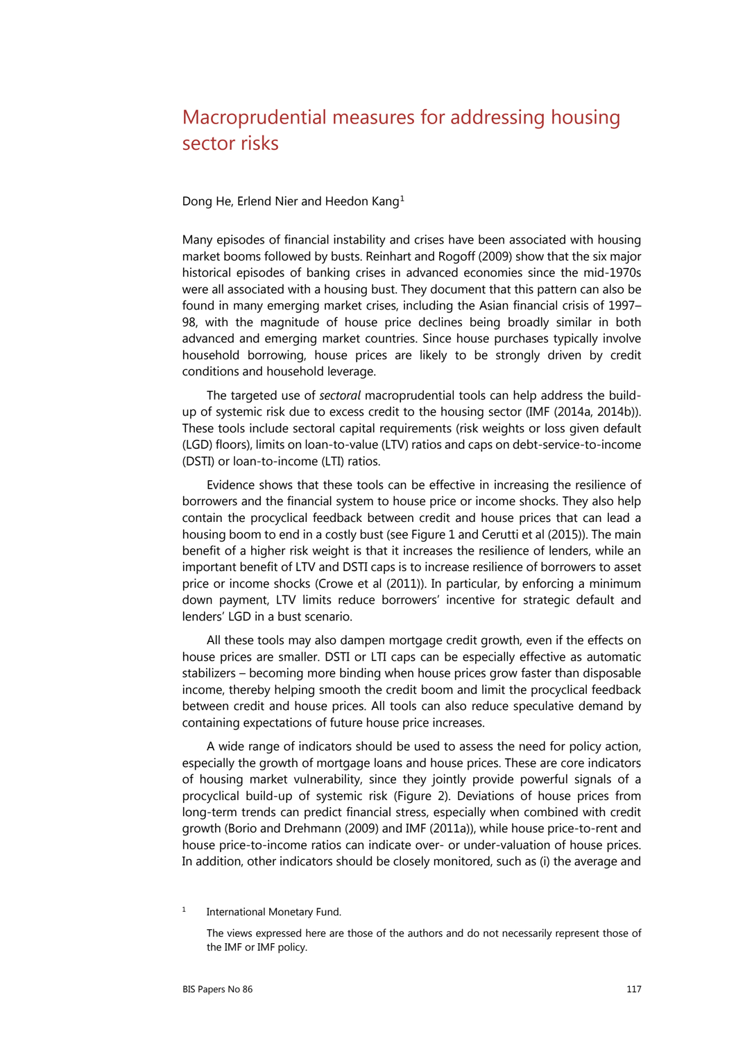## Macroprudential measures for addressing housing sector risks

## Dong He, Erlend Nier and Heedon Kang[1](#page-0-0)

Many episodes of financial instability and crises have been associated with housing market booms followed by busts. Reinhart and Rogoff (2009) show that the six major historical episodes of banking crises in advanced economies since the mid-1970s were all associated with a housing bust. They document that this pattern can also be found in many emerging market crises, including the Asian financial crisis of 1997– 98, with the magnitude of house price declines being broadly similar in both advanced and emerging market countries. Since house purchases typically involve household borrowing, house prices are likely to be strongly driven by credit conditions and household leverage.

The targeted use of *sectoral* macroprudential tools can help address the buildup of systemic risk due to excess credit to the housing sector [\(IMF \(2014a,](http://www.imf.org/external/np/pp/eng/2014/110614.pdf) [2014b\)](http://www.imf.org/external/np/pp/eng/2014/110614a.pdf)). These tools include sectoral capital requirements (risk weights or loss given default (LGD) floors), limits on loan-to-value (LTV) ratios and caps on debt-service-to-income (DSTI) or loan-to-income (LTI) ratios.

Evidence shows that these tools can be effective in increasing the resilience of borrowers and the financial system to house price or income shocks. They also help contain the procyclical feedback between credit and house prices that can lead a housing boom to end in a costly bust (see Figure 1 and Cerutti et al (2015)). The main benefit of a higher risk weight is that it increases the resilience of lenders, while an important benefit of LTV and DSTI caps is to increase resilience of borrowers to asset price or income shocks (Crowe et al (2011)). In particular, by enforcing a minimum down payment, LTV limits reduce borrowers' incentive for strategic default and lenders' LGD in a bust scenario.

All these tools may also dampen mortgage credit growth, even if the effects on house prices are smaller. DSTI or LTI caps can be especially effective as automatic stabilizers – becoming more binding when house prices grow faster than disposable income, thereby helping smooth the credit boom and limit the procyclical feedback between credit and house prices. All tools can also reduce speculative demand by containing expectations of future house price increases.

A wide range of indicators should be used to assess the need for policy action, especially the growth of mortgage loans and house prices. These are core indicators of housing market vulnerability, since they jointly provide powerful signals of a procyclical build-up of systemic risk (Figure 2). Deviations of house prices from long-term trends can predict financial stress, especially when combined with credit growth [\(Borio and Drehmann \(2009\)](http://www.bis.org/publ/qtrpdf/r_qt0903e.pdf) and [IMF \(2011a\)](https://www.imf.org/external/pubs/ft/gfsr/2011/02/pdf/ch3.pdf)), while house price-to-rent and house price-to-income ratios can indicate over- or under-valuation of house prices. In addition, other indicators should be closely monitored, such as (i) the average and

<span id="page-0-0"></span><sup>1</sup> International Monetary Fund.

The views expressed here are those of the authors and do not necessarily represent those of the IMF or IMF policy.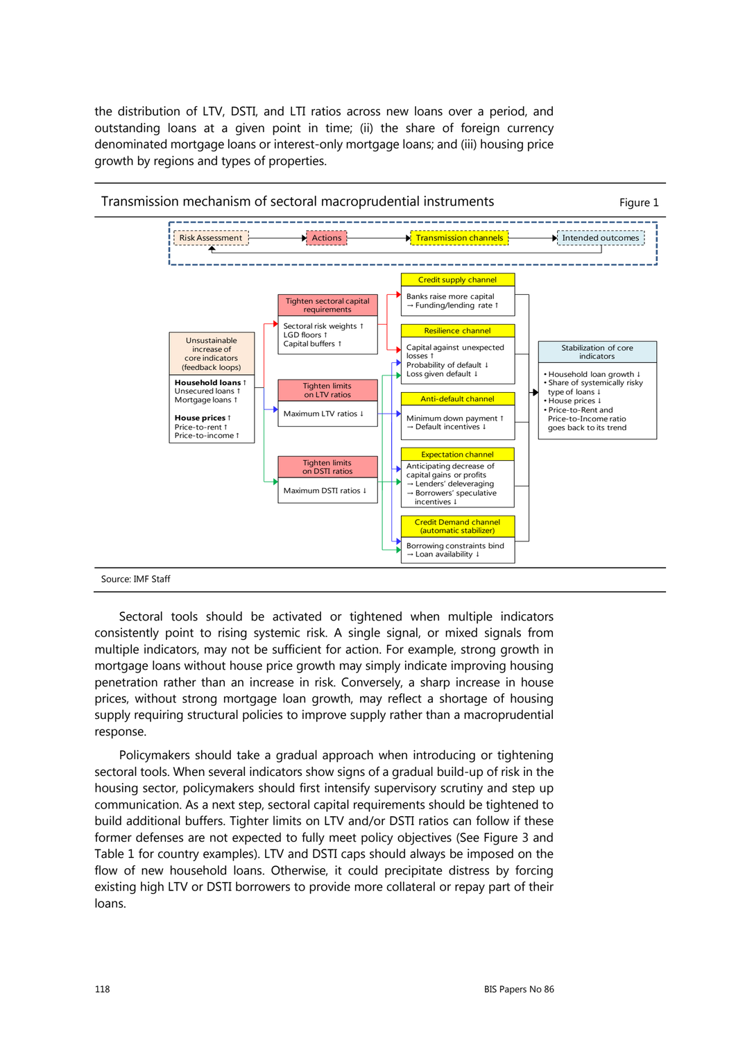the distribution of LTV, DSTI, and LTI ratios across new loans over a period, and outstanding loans at a given point in time; (ii) the share of foreign currency denominated mortgage loans or interest-only mortgage loans; and (iii) housing price growth by regions and types of properties.



Sectoral tools should be activated or tightened when multiple indicators consistently point to rising systemic risk. A single signal, or mixed signals from multiple indicators, may not be sufficient for action. For example, strong growth in mortgage loans without house price growth may simply indicate improving housing penetration rather than an increase in risk. Conversely, a sharp increase in house prices, without strong mortgage loan growth, may reflect a shortage of housing supply requiring structural policies to improve supply rather than a macroprudential response.

Policymakers should take a gradual approach when introducing or tightening sectoral tools. When several indicators show signs of a gradual build-up of risk in the housing sector, policymakers should first intensify supervisory scrutiny and step up communication. As a next step, sectoral capital requirements should be tightened to build additional buffers. Tighter limits on LTV and/or DSTI ratios can follow if these former defenses are not expected to fully meet policy objectives (See Figure 3 and Table 1 for country examples). LTV and DSTI caps should always be imposed on the flow of new household loans. Otherwise, it could precipitate distress by forcing existing high LTV or DSTI borrowers to provide more collateral or repay part of their loans.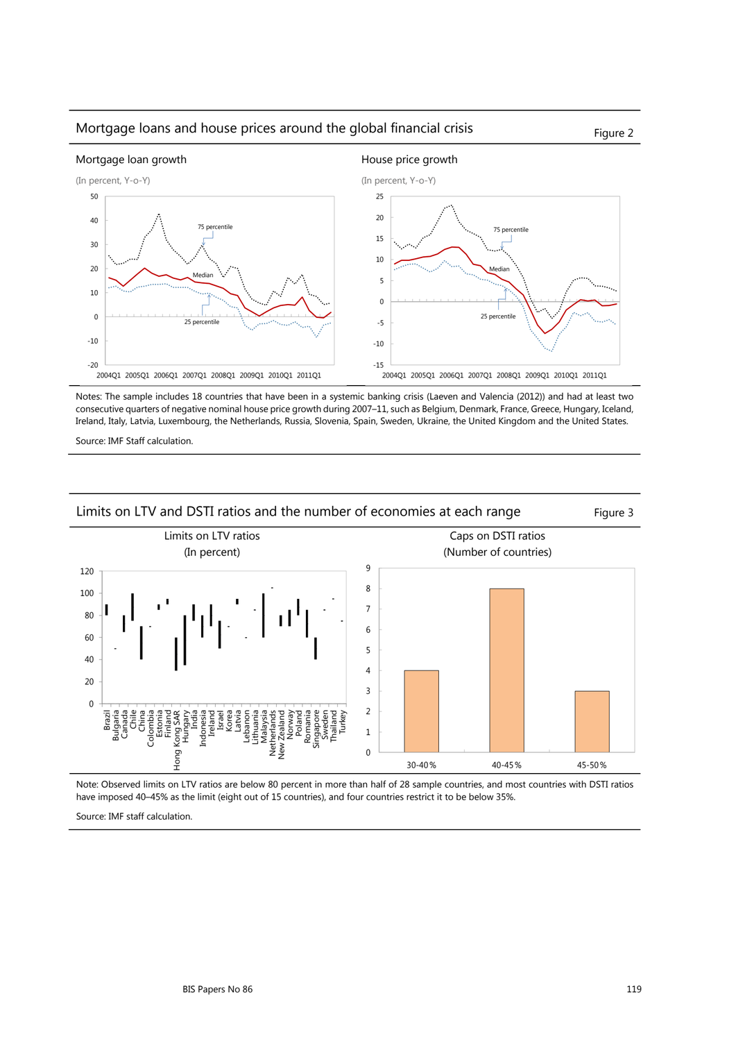## Mortgage loans and house prices around the global financial crisis Figure 2



Notes: The sample includes 18 countries that have been in a systemic banking crisis [\(Laeven and Valencia \(2012\)\)](http://www.imf.org/external/pubs/cat/longres.aspx?sk=26015) and had at least two consecutive quarters of negative nominal house price growth during 2007–11, such as Belgium, Denmark, France, Greece, Hungary, Iceland, Ireland, Italy, Latvia, Luxembourg, the Netherlands, Russia, Slovenia, Spain, Sweden, Ukraine, the United Kingdom and the United States.

Source: IMF Staff calculation.



Note: Observed limits on LTV ratios are below 80 percent in more than half of 28 sample countries, and most countries with DSTI ratios have imposed 40–45% as the limit (eight out of 15 countries), and four countries restrict it to be below 35%.

Source: IMF staff calculation.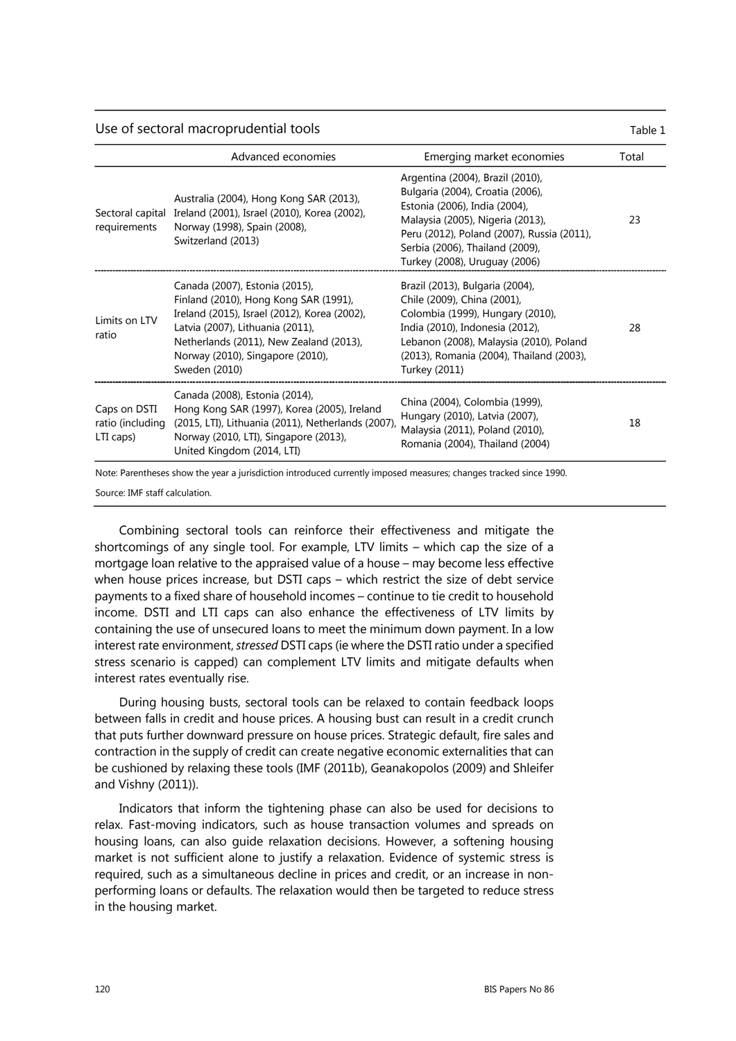Use of sectoral macroprudential tools Table 1 and Table 1

|                                               | Advanced economies                                                                                                                                                                                                                                          | Emerging market economies                                                                                                                                                                                                                                   | Total |
|-----------------------------------------------|-------------------------------------------------------------------------------------------------------------------------------------------------------------------------------------------------------------------------------------------------------------|-------------------------------------------------------------------------------------------------------------------------------------------------------------------------------------------------------------------------------------------------------------|-------|
| Sectoral capital<br>requirements              | Australia (2004), Hong Kong SAR (2013),<br>Ireland (2001), Israel (2010), Korea (2002),<br>Norway (1998), Spain (2008),<br>Switzerland (2013)                                                                                                               | Argentina (2004), Brazil (2010),<br>Bulgaria (2004), Croatia (2006),<br>Estonia (2006), India (2004),<br>Malaysia (2005), Nigeria (2013),<br>Peru (2012), Poland (2007), Russia (2011),<br>Serbia (2006), Thailand (2009),<br>Turkey (2008), Uruguay (2006) | 23    |
| Limits on LTV<br>ratio                        | Canada (2007), Estonia (2015),<br>Finland (2010), Hong Kong SAR (1991),<br>Ireland (2015), Israel (2012), Korea (2002),<br>Latvia (2007), Lithuania (2011),<br>Netherlands (2011), New Zealand (2013),<br>Norway (2010), Singapore (2010),<br>Sweden (2010) | Brazil (2013), Bulgaria (2004),<br>Chile (2009), China (2001),<br>Colombia (1999), Hungary (2010),<br>India (2010), Indonesia (2012),<br>Lebanon (2008), Malaysia (2010), Poland<br>(2013), Romania (2004), Thailand (2003),<br>Turkey (2011)               | 28    |
| Caps on DSTI<br>ratio (including<br>LTI caps) | Canada (2008), Estonia (2014),<br>Hong Kong SAR (1997), Korea (2005), Ireland<br>(2015, LTI), Lithuania (2011), Netherlands (2007)<br>Norway (2010, LTI), Singapore (2013),<br>United Kingdom (2014, LTI)                                                   | China (2004), Colombia (1999),<br>Hungary (2010), Latvia (2007),<br>Malaysia (2011), Poland (2010),<br>Romania (2004), Thailand (2004)                                                                                                                      | 18    |
|                                               | Note: Parentheses show the year a jurisdiction introduced currently imposed measures; changes tracked since 1990.                                                                                                                                           |                                                                                                                                                                                                                                                             |       |

Source: IMF staff calculation.

Combining sectoral tools can reinforce their effectiveness and mitigate the shortcomings of any single tool. For example, LTV limits – which cap the size of a mortgage loan relative to the appraised value of a house – may become less effective when house prices increase, but DSTI caps – which restrict the size of debt service payments to a fixed share of household incomes – continue to tie credit to household income. DSTI and LTI caps can also enhance the effectiveness of LTV limits by containing the use of unsecured loans to meet the minimum down payment. In a low interest rate environment, *stressed* DSTI caps (ie where the DSTI ratio under a specified stress scenario is capped) can complement LTV limits and mitigate defaults when interest rates eventually rise.

During housing busts, sectoral tools can be relaxed to contain feedback loops between falls in credit and house prices. A housing bust can result in a credit crunch that puts further downward pressure on house prices. Strategic default, fire sales and contraction in the supply of credit can create negative economic externalities that can be cushioned by relaxing these tools [\(IMF \(2011b\)](https://www.imf.org/external/pubs/ft/gfsr/2011/01/pdf/chap3.pdf), [Geanakopolos \(2009\)](http://cowles.econ.yale.edu/P/cd/d17a/d1715-r.pdf) and [Shleifer](http://scholar.harvard.edu/files/shleifer/files/fire_sales_jep_final.pdf)  [and Vishny \(2011\)](http://scholar.harvard.edu/files/shleifer/files/fire_sales_jep_final.pdf)).

Indicators that inform the tightening phase can also be used for decisions to relax. Fast-moving indicators, such as house transaction volumes and spreads on housing loans, can also guide relaxation decisions. However, a softening housing market is not sufficient alone to justify a relaxation. Evidence of systemic stress is required, such as a simultaneous decline in prices and credit, or an increase in nonperforming loans or defaults. The relaxation would then be targeted to reduce stress in the housing market.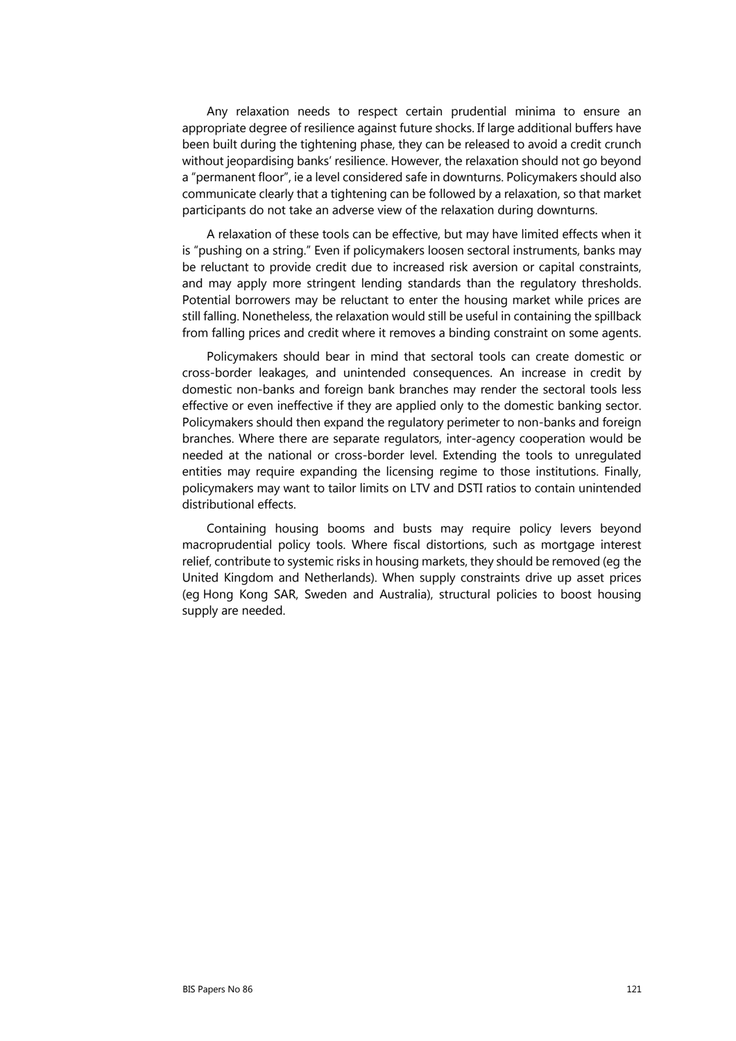Any relaxation needs to respect certain prudential minima to ensure an appropriate degree of resilience against future shocks. If large additional buffers have been built during the tightening phase, they can be released to avoid a credit crunch without jeopardising banks' resilience. However, the relaxation should not go beyond a "permanent floor", ie a level considered safe in downturns. Policymakers should also communicate clearly that a tightening can be followed by a relaxation, so that market participants do not take an adverse view of the relaxation during downturns.

A relaxation of these tools can be effective, but may have limited effects when it is "pushing on a string." Even if policymakers loosen sectoral instruments, banks may be reluctant to provide credit due to increased risk aversion or capital constraints, and may apply more stringent lending standards than the regulatory thresholds. Potential borrowers may be reluctant to enter the housing market while prices are still falling. Nonetheless, the relaxation would still be useful in containing the spillback from falling prices and credit where it removes a binding constraint on some agents.

Policymakers should bear in mind that sectoral tools can create domestic or cross-border leakages, and unintended consequences. An increase in credit by domestic non-banks and foreign bank branches may render the sectoral tools less effective or even ineffective if they are applied only to the domestic banking sector. Policymakers should then expand the regulatory perimeter to non-banks and foreign branches. Where there are separate regulators, inter-agency cooperation would be needed at the national or cross-border level. Extending the tools to unregulated entities may require expanding the licensing regime to those institutions. Finally, policymakers may want to tailor limits on LTV and DSTI ratios to contain unintended distributional effects.

Containing housing booms and busts may require policy levers beyond macroprudential policy tools. Where fiscal distortions, such as mortgage interest relief, contribute to systemic risks in housing markets, they should be removed (eg the United Kingdom and Netherlands). When supply constraints drive up asset prices (eg Hong Kong SAR, Sweden and Australia), structural policies to boost housing supply are needed.